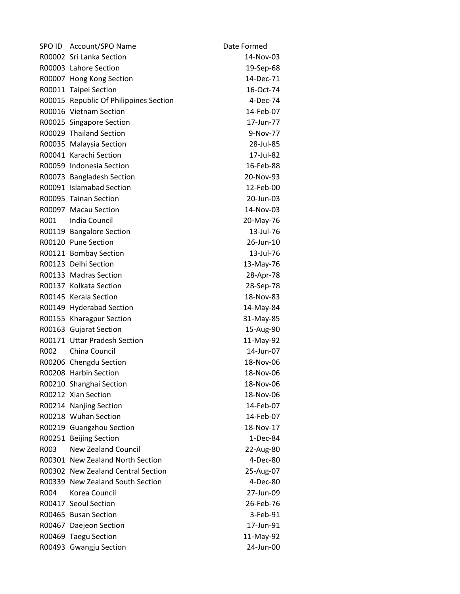| SPO ID | Account/SPO Name                       | Date Formed |
|--------|----------------------------------------|-------------|
|        | R00002 Sri Lanka Section               | 14-Nov-03   |
|        | R00003 Lahore Section                  | 19-Sep-68   |
|        | R00007 Hong Kong Section               | 14-Dec-71   |
|        | R00011 Taipei Section                  | 16-Oct-74   |
|        | R00015 Republic Of Philippines Section | 4-Dec-74    |
|        | R00016 Vietnam Section                 | 14-Feb-07   |
|        | R00025 Singapore Section               | 17-Jun-77   |
|        | R00029 Thailand Section                | 9-Nov-77    |
|        | R00035 Malaysia Section                | 28-Jul-85   |
|        | R00041 Karachi Section                 | 17-Jul-82   |
|        | R00059 Indonesia Section               | 16-Feb-88   |
|        | R00073 Bangladesh Section              | 20-Nov-93   |
|        | R00091 Islamabad Section               | 12-Feb-00   |
|        | R00095 Tainan Section                  | 20-Jun-03   |
|        | R00097 Macau Section                   | 14-Nov-03   |
| R001   | India Council                          | 20-May-76   |
|        | R00119 Bangalore Section               | 13-Jul-76   |
|        | R00120 Pune Section                    | 26-Jun-10   |
|        | R00121 Bombay Section                  | 13-Jul-76   |
|        | R00123 Delhi Section                   | 13-May-76   |
|        | R00133 Madras Section                  | 28-Apr-78   |
|        | R00137 Kolkata Section                 | 28-Sep-78   |
|        | R00145 Kerala Section                  | 18-Nov-83   |
|        | R00149 Hyderabad Section               | 14-May-84   |
|        | R00155 Kharagpur Section               | 31-May-85   |
|        | R00163 Gujarat Section                 | 15-Aug-90   |
|        | R00171 Uttar Pradesh Section           | 11-May-92   |
| R002   | China Council                          | 14-Jun-07   |
|        | R00206 Chengdu Section                 | 18-Nov-06   |
|        | R00208 Harbin Section                  | 18-Nov-06   |
|        | R00210 Shanghai Section                | 18-Nov-06   |
|        | R00212 Xian Section                    | 18-Nov-06   |
|        | R00214 Nanjing Section                 | 14-Feb-07   |
|        | R00218 Wuhan Section                   | 14-Feb-07   |
|        | R00219 Guangzhou Section               | 18-Nov-17   |
|        | R00251 Beijing Section                 | 1-Dec-84    |
| R003   | <b>New Zealand Council</b>             | 22-Aug-80   |
|        | R00301 New Zealand North Section       | 4-Dec-80    |
|        | R00302 New Zealand Central Section     | 25-Aug-07   |
|        | R00339 New Zealand South Section       | 4-Dec-80    |
| R004   | Korea Council                          | 27-Jun-09   |
|        | R00417 Seoul Section                   | 26-Feb-76   |
|        | R00465 Busan Section                   | 3-Feb-91    |
|        | R00467 Daejeon Section                 | 17-Jun-91   |
|        | R00469 Taegu Section                   | 11-May-92   |
| R00493 | <b>Gwangju Section</b>                 | 24-Jun-00   |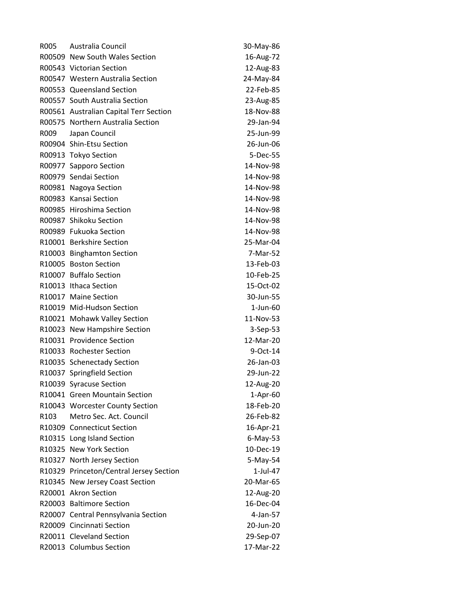| R005             | Australia Council                       | 30-May-86      |
|------------------|-----------------------------------------|----------------|
|                  | R00509 New South Wales Section          | 16-Aug-72      |
|                  | R00543 Victorian Section                | 12-Aug-83      |
|                  | R00547 Western Australia Section        | 24-May-84      |
|                  | R00553 Queensland Section               | 22-Feb-85      |
|                  | R00557 South Australia Section          | 23-Aug-85      |
|                  | R00561 Australian Capital Terr Section  | 18-Nov-88      |
|                  | R00575 Northern Australia Section       | 29-Jan-94      |
| R009             | Japan Council                           | 25-Jun-99      |
|                  | R00904 Shin-Etsu Section                | 26-Jun-06      |
|                  | R00913 Tokyo Section                    | 5-Dec-55       |
|                  | R00977 Sapporo Section                  | 14-Nov-98      |
|                  | R00979 Sendai Section                   | 14-Nov-98      |
|                  | R00981 Nagoya Section                   | 14-Nov-98      |
|                  | R00983 Kansai Section                   | 14-Nov-98      |
|                  | R00985 Hiroshima Section                | 14-Nov-98      |
|                  | R00987 Shikoku Section                  | 14-Nov-98      |
|                  | R00989 Fukuoka Section                  | 14-Nov-98      |
|                  | R10001 Berkshire Section                | 25-Mar-04      |
|                  | R10003 Binghamton Section               | 7-Mar-52       |
|                  | R10005 Boston Section                   | 13-Feb-03      |
|                  | R10007 Buffalo Section                  | 10-Feb-25      |
|                  | R10013 Ithaca Section                   | 15-Oct-02      |
|                  | R10017 Maine Section                    | 30-Jun-55      |
|                  | R10019 Mid-Hudson Section               | $1$ -Jun- $60$ |
|                  | R10021 Mohawk Valley Section            | 11-Nov-53      |
|                  | R10023 New Hampshire Section            | 3-Sep-53       |
|                  | R10031 Providence Section               | 12-Mar-20      |
|                  | R10033 Rochester Section                | 9-Oct-14       |
|                  | R10035 Schenectady Section              | 26-Jan-03      |
|                  | R10037 Springfield Section              | 29-Jun-22      |
|                  | R10039 Syracuse Section                 | 12-Aug-20      |
|                  | R10041 Green Mountain Section           | 1-Apr-60       |
|                  | R10043 Worcester County Section         | 18-Feb-20      |
| R <sub>103</sub> | Metro Sec. Act. Council                 | 26-Feb-82      |
|                  | R10309 Connecticut Section              | 16-Apr-21      |
|                  | R10315 Long Island Section              | $6$ -May-53    |
|                  | R10325 New York Section                 | 10-Dec-19      |
|                  | R10327 North Jersey Section             | 5-May-54       |
|                  | R10329 Princeton/Central Jersey Section | 1-Jul-47       |
|                  | R10345 New Jersey Coast Section         | 20-Mar-65      |
|                  | R20001 Akron Section                    | 12-Aug-20      |
|                  | R20003 Baltimore Section                | 16-Dec-04      |
|                  | R20007 Central Pennsylvania Section     | 4-Jan-57       |
|                  | R20009 Cincinnati Section               | 20-Jun-20      |
|                  | R20011 Cleveland Section                | 29-Sep-07      |
|                  | R20013 Columbus Section                 | 17-Mar-22      |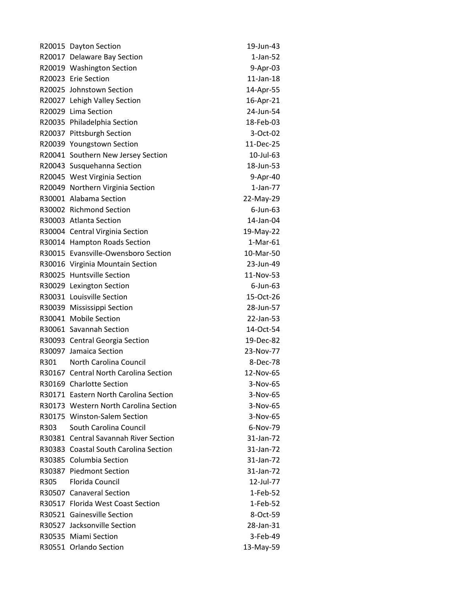|      | R20015 Dayton Section                 | 19-Jun-43       |
|------|---------------------------------------|-----------------|
|      | R20017 Delaware Bay Section           | $1$ -Jan-52     |
|      | R20019 Washington Section             | 9-Apr-03        |
|      | R20023 Erie Section                   | $11$ -Jan- $18$ |
|      | R20025 Johnstown Section              | 14-Apr-55       |
|      | R20027 Lehigh Valley Section          | 16-Apr-21       |
|      | R20029 Lima Section                   | 24-Jun-54       |
|      | R20035 Philadelphia Section           | 18-Feb-03       |
|      | R20037 Pittsburgh Section             | 3-Oct-02        |
|      | R20039 Youngstown Section             | 11-Dec-25       |
|      | R20041 Southern New Jersey Section    | 10-Jul-63       |
|      | R20043 Susquehanna Section            | 18-Jun-53       |
|      | R20045 West Virginia Section          | 9-Apr-40        |
|      | R20049 Northern Virginia Section      | $1$ -Jan-77     |
|      | R30001 Alabama Section                | 22-May-29       |
|      | R30002 Richmond Section               | $6$ -Jun- $63$  |
|      | R30003 Atlanta Section                | 14-Jan-04       |
|      | R30004 Central Virginia Section       | 19-May-22       |
|      | R30014 Hampton Roads Section          | $1-Mar-61$      |
|      | R30015 Evansville-Owensboro Section   | 10-Mar-50       |
|      | R30016 Virginia Mountain Section      | 23-Jun-49       |
|      | R30025 Huntsville Section             | 11-Nov-53       |
|      | R30029 Lexington Section              | $6$ -Jun- $63$  |
|      | R30031 Louisville Section             | 15-Oct-26       |
|      | R30039 Mississippi Section            | 28-Jun-57       |
|      | R30041 Mobile Section                 | 22-Jan-53       |
|      | R30061 Savannah Section               | 14-Oct-54       |
|      | R30093 Central Georgia Section        | 19-Dec-82       |
|      | R30097 Jamaica Section                | 23-Nov-77       |
| R301 | North Carolina Council                | 8-Dec-78        |
|      | R30167 Central North Carolina Section | 12-Nov-65       |
|      | R30169 Charlotte Section              | 3-Nov-65        |
|      | R30171 Eastern North Carolina Section | 3-Nov-65        |
|      | R30173 Western North Carolina Section | 3-Nov-65        |
|      | R30175 Winston-Salem Section          | 3-Nov-65        |
| R303 | South Carolina Council                | 6-Nov-79        |
|      | R30381 Central Savannah River Section | 31-Jan-72       |
|      | R30383 Coastal South Carolina Section | 31-Jan-72       |
|      | R30385 Columbia Section               | 31-Jan-72       |
|      | R30387 Piedmont Section               | 31-Jan-72       |
| R305 | Florida Council                       | 12-Jul-77       |
|      | R30507 Canaveral Section              | 1-Feb-52        |
|      | R30517 Florida West Coast Section     | 1-Feb-52        |
|      | R30521 Gainesville Section            | 8-Oct-59        |
|      | R30527 Jacksonville Section           | 28-Jan-31       |
|      | R30535 Miami Section                  | 3-Feb-49        |
|      | R30551 Orlando Section                | 13-May-59       |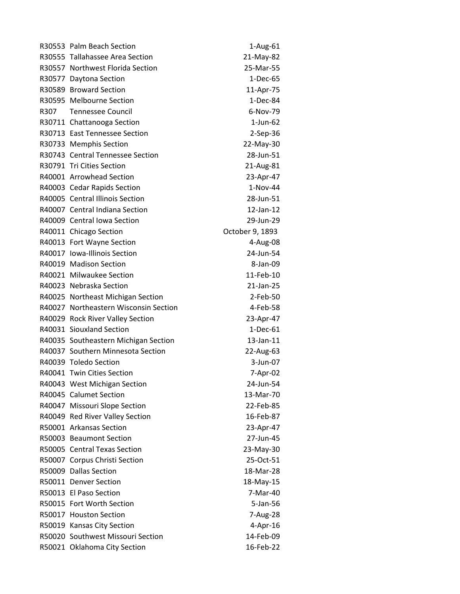| R30553 Palm Beach Section             | 1-Aug-61        |
|---------------------------------------|-----------------|
| R30555 Tallahassee Area Section       | 21-May-82       |
| R30557 Northwest Florida Section      | 25-Mar-55       |
| R30577 Daytona Section                | $1-Dec-65$      |
| R30589 Broward Section                | 11-Apr-75       |
| R30595 Melbourne Section              | 1-Dec-84        |
| R307 Tennessee Council                | 6-Nov-79        |
| R30711 Chattanooga Section            | $1$ -Jun-62     |
| R30713 East Tennessee Section         | 2-Sep-36        |
| R30733 Memphis Section                | 22-May-30       |
| R30743 Central Tennessee Section      | 28-Jun-51       |
| R30791 Tri Cities Section             | 21-Aug-81       |
| R40001 Arrowhead Section              | 23-Apr-47       |
| R40003 Cedar Rapids Section           | 1-Nov-44        |
| R40005 Central Illinois Section       | 28-Jun-51       |
| R40007 Central Indiana Section        | 12-Jan-12       |
| R40009 Central Iowa Section           | 29-Jun-29       |
| R40011 Chicago Section                | October 9, 1893 |
| R40013 Fort Wayne Section             | 4-Aug-08        |
| R40017 Iowa-Illinois Section          | 24-Jun-54       |
| R40019 Madison Section                | 8-Jan-09        |
| R40021 Milwaukee Section              | 11-Feb-10       |
| R40023 Nebraska Section               | 21-Jan-25       |
| R40025 Northeast Michigan Section     | 2-Feb-50        |
| R40027 Northeastern Wisconsin Section | 4-Feb-58        |
| R40029 Rock River Valley Section      | 23-Apr-47       |
| R40031 Siouxland Section              | $1-Dec-61$      |
| R40035 Southeastern Michigan Section  | 13-Jan-11       |
| R40037 Southern Minnesota Section     | 22-Aug-63       |
| R40039 Toledo Section                 | 3-Jun-07        |
| R40041 Twin Cities Section            | 7-Apr-02        |
| R40043 West Michigan Section          | 24-Jun-54       |
| R40045 Calumet Section                | 13-Mar-70       |
| R40047 Missouri Slope Section         | 22-Feb-85       |
| R40049 Red River Valley Section       | 16-Feb-87       |
| R50001 Arkansas Section               | 23-Apr-47       |
| R50003 Beaumont Section               | 27-Jun-45       |
| R50005 Central Texas Section          | 23-May-30       |
| R50007 Corpus Christi Section         | 25-Oct-51       |
| R50009 Dallas Section                 | 18-Mar-28       |
| R50011 Denver Section                 | 18-May-15       |
| R50013 El Paso Section                | 7-Mar-40        |
| R50015 Fort Worth Section             | 5-Jan-56        |
| R50017 Houston Section                | 7-Aug-28        |
| R50019 Kansas City Section            | 4-Apr-16        |
| R50020 Southwest Missouri Section     | 14-Feb-09       |
| R50021 Oklahoma City Section          | 16-Feb-22       |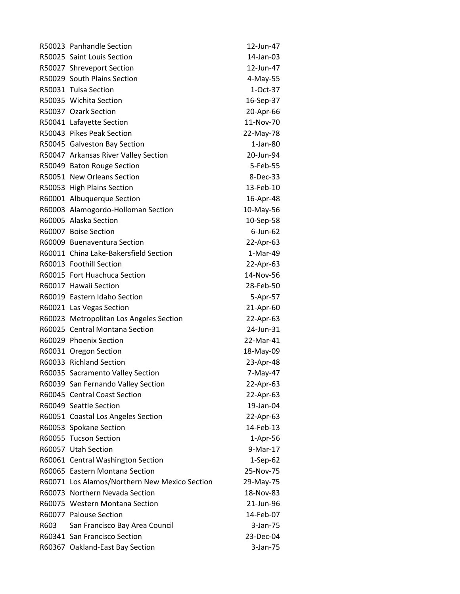|      | R50023 Panhandle Section                      | 12-Jun-47      |
|------|-----------------------------------------------|----------------|
|      | R50025 Saint Louis Section                    | 14-Jan-03      |
|      | R50027 Shreveport Section                     | 12-Jun-47      |
|      | R50029 South Plains Section                   | 4-May-55       |
|      | R50031 Tulsa Section                          | 1-Oct-37       |
|      | R50035 Wichita Section                        | 16-Sep-37      |
|      | R50037 Ozark Section                          | 20-Apr-66      |
|      | R50041 Lafayette Section                      | 11-Nov-70      |
|      | R50043 Pikes Peak Section                     | 22-May-78      |
|      | R50045 Galveston Bay Section                  | $1$ -Jan-80    |
|      | R50047 Arkansas River Valley Section          | 20-Jun-94      |
|      | R50049 Baton Rouge Section                    | 5-Feb-55       |
|      | R50051 New Orleans Section                    | 8-Dec-33       |
|      | R50053 High Plains Section                    | 13-Feb-10      |
|      | R60001 Albuquerque Section                    | 16-Apr-48      |
|      | R60003 Alamogordo-Holloman Section            | 10-May-56      |
|      | R60005 Alaska Section                         | 10-Sep-58      |
|      | R60007 Boise Section                          | $6$ -Jun- $62$ |
|      | R60009 Buenaventura Section                   | 22-Apr-63      |
|      | R60011 China Lake-Bakersfield Section         | 1-Mar-49       |
|      | R60013 Foothill Section                       | 22-Apr-63      |
|      | R60015 Fort Huachuca Section                  | 14-Nov-56      |
|      | R60017 Hawaii Section                         | 28-Feb-50      |
|      | R60019 Eastern Idaho Section                  | 5-Apr-57       |
|      | R60021 Las Vegas Section                      | 21-Apr-60      |
|      | R60023 Metropolitan Los Angeles Section       | 22-Apr-63      |
|      | R60025 Central Montana Section                | 24-Jun-31      |
|      | R60029 Phoenix Section                        | 22-Mar-41      |
|      | R60031 Oregon Section                         | 18-May-09      |
|      | R60033 Richland Section                       | 23-Apr-48      |
|      | R60035 Sacramento Valley Section              | 7-May-47       |
|      | R60039 San Fernando Valley Section            | 22-Apr-63      |
|      | R60045 Central Coast Section                  | 22-Apr-63      |
|      | R60049 Seattle Section                        | 19-Jan-04      |
|      | R60051 Coastal Los Angeles Section            | 22-Apr-63      |
|      | R60053 Spokane Section                        | 14-Feb-13      |
|      | R60055 Tucson Section                         | 1-Apr-56       |
|      | R60057 Utah Section                           | 9-Mar-17       |
|      | R60061 Central Washington Section             | $1-Sep-62$     |
|      | R60065 Eastern Montana Section                | 25-Nov-75      |
|      | R60071 Los Alamos/Northern New Mexico Section | 29-May-75      |
|      | R60073 Northern Nevada Section                | 18-Nov-83      |
|      | R60075 Western Montana Section                | 21-Jun-96      |
|      | R60077 Palouse Section                        | 14-Feb-07      |
| R603 | San Francisco Bay Area Council                | 3-Jan-75       |
|      | R60341 San Francisco Section                  | 23-Dec-04      |
|      | R60367 Oakland-East Bay Section               | 3-Jan-75       |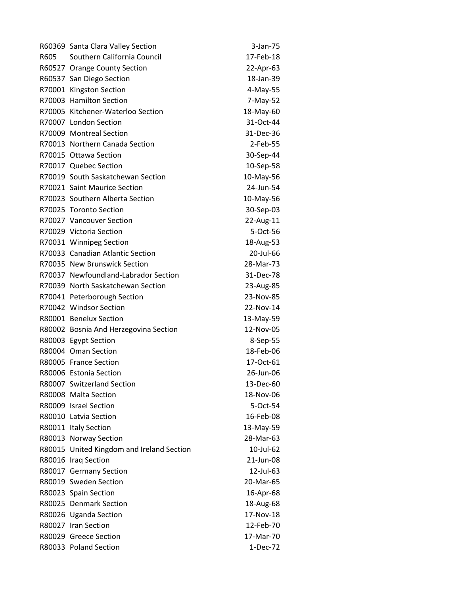|      | R60369 Santa Clara Valley Section         | 3-Jan-75    |
|------|-------------------------------------------|-------------|
| R605 | Southern California Council               | 17-Feb-18   |
|      | R60527 Orange County Section              | 22-Apr-63   |
|      | R60537 San Diego Section                  | 18-Jan-39   |
|      | R70001 Kingston Section                   | 4-May-55    |
|      | R70003 Hamilton Section                   | 7-May-52    |
|      | R70005 Kitchener-Waterloo Section         | 18-May-60   |
|      | R70007 London Section                     | 31-Oct-44   |
|      | R70009 Montreal Section                   | 31-Dec-36   |
|      | R70013 Northern Canada Section            | $2$ -Feb-55 |
|      | R70015 Ottawa Section                     | 30-Sep-44   |
|      | R70017 Quebec Section                     | 10-Sep-58   |
|      | R70019 South Saskatchewan Section         | 10-May-56   |
|      | R70021 Saint Maurice Section              | 24-Jun-54   |
|      | R70023 Southern Alberta Section           | 10-May-56   |
|      | R70025 Toronto Section                    | 30-Sep-03   |
|      | R70027 Vancouver Section                  | 22-Aug-11   |
|      | R70029 Victoria Section                   | 5-Oct-56    |
|      | R70031 Winnipeg Section                   | 18-Aug-53   |
|      | R70033 Canadian Atlantic Section          | 20-Jul-66   |
|      | R70035 New Brunswick Section              | 28-Mar-73   |
|      | R70037 Newfoundland-Labrador Section      | 31-Dec-78   |
|      | R70039 North Saskatchewan Section         | 23-Aug-85   |
|      | R70041 Peterborough Section               | 23-Nov-85   |
|      | R70042 Windsor Section                    | 22-Nov-14   |
|      | R80001 Benelux Section                    | 13-May-59   |
|      | R80002 Bosnia And Herzegovina Section     | 12-Nov-05   |
|      | R80003 Egypt Section                      | 8-Sep-55    |
|      | R80004 Oman Section                       | 18-Feb-06   |
|      | R80005 France Section                     | 17-Oct-61   |
|      | R80006 Estonia Section                    | 26-Jun-06   |
|      | R80007 Switzerland Section                | 13-Dec-60   |
|      | R80008 Malta Section                      | 18-Nov-06   |
|      | R80009 Israel Section                     | 5-Oct-54    |
|      | R80010 Latvia Section                     | 16-Feb-08   |
|      | R80011 Italy Section                      | 13-May-59   |
|      | R80013 Norway Section                     | 28-Mar-63   |
|      | R80015 United Kingdom and Ireland Section | 10-Jul-62   |
|      | R80016 Iraq Section                       | 21-Jun-08   |
|      | R80017 Germany Section                    | 12-Jul-63   |
|      | R80019 Sweden Section                     | 20-Mar-65   |
|      | R80023 Spain Section                      | 16-Apr-68   |
|      | R80025 Denmark Section                    | 18-Aug-68   |
|      | R80026 Uganda Section                     | 17-Nov-18   |
|      | R80027 Iran Section                       | 12-Feb-70   |
|      | R80029 Greece Section                     | 17-Mar-70   |
|      | R80033 Poland Section                     | 1-Dec-72    |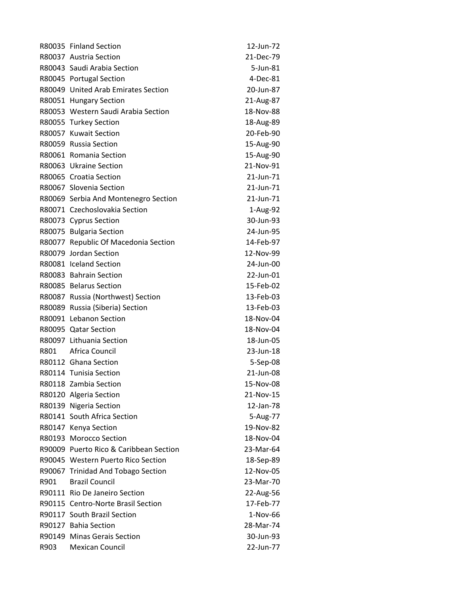|      | R80035 Finland Section                 | 12-Jun-72 |
|------|----------------------------------------|-----------|
|      | R80037 Austria Section                 | 21-Dec-79 |
|      | R80043 Saudi Arabia Section            | 5-Jun-81  |
|      | R80045 Portugal Section                | 4-Dec-81  |
|      | R80049 United Arab Emirates Section    | 20-Jun-87 |
|      | R80051 Hungary Section                 | 21-Aug-87 |
|      | R80053 Western Saudi Arabia Section    | 18-Nov-88 |
|      | R80055 Turkey Section                  | 18-Aug-89 |
|      | R80057 Kuwait Section                  | 20-Feb-90 |
|      | R80059 Russia Section                  | 15-Aug-90 |
|      | R80061 Romania Section                 | 15-Aug-90 |
|      | R80063 Ukraine Section                 | 21-Nov-91 |
|      | R80065 Croatia Section                 | 21-Jun-71 |
|      | R80067 Slovenia Section                | 21-Jun-71 |
|      | R80069 Serbia And Montenegro Section   | 21-Jun-71 |
|      | R80071 Czechoslovakia Section          | 1-Aug-92  |
|      | R80073 Cyprus Section                  | 30-Jun-93 |
|      | R80075 Bulgaria Section                | 24-Jun-95 |
|      | R80077 Republic Of Macedonia Section   | 14-Feb-97 |
|      | R80079 Jordan Section                  | 12-Nov-99 |
|      | R80081 Iceland Section                 | 24-Jun-00 |
|      | R80083 Bahrain Section                 | 22-Jun-01 |
|      | R80085 Belarus Section                 | 15-Feb-02 |
|      | R80087 Russia (Northwest) Section      | 13-Feb-03 |
|      | R80089 Russia (Siberia) Section        | 13-Feb-03 |
|      | R80091 Lebanon Section                 | 18-Nov-04 |
|      | R80095 Qatar Section                   | 18-Nov-04 |
|      | R80097 Lithuania Section               | 18-Jun-05 |
| R801 | Africa Council                         | 23-Jun-18 |
|      | R80112 Ghana Section                   | 5-Sep-08  |
|      | R80114 Tunisia Section                 | 21-Jun-08 |
|      | R80118 Zambia Section                  | 15-Nov-08 |
|      | R80120 Algeria Section                 | 21-Nov-15 |
|      | R80139 Nigeria Section                 | 12-Jan-78 |
|      | R80141 South Africa Section            | 5-Aug-77  |
|      | R80147 Kenya Section                   | 19-Nov-82 |
|      | R80193 Morocco Section                 | 18-Nov-04 |
|      | R90009 Puerto Rico & Caribbean Section | 23-Mar-64 |
|      | R90045 Western Puerto Rico Section     | 18-Sep-89 |
|      | R90067 Trinidad And Tobago Section     | 12-Nov-05 |
| R901 | <b>Brazil Council</b>                  | 23-Mar-70 |
|      | R90111 Rio De Janeiro Section          | 22-Aug-56 |
|      | R90115 Centro-Norte Brasil Section     | 17-Feb-77 |
|      | R90117 South Brazil Section            | 1-Nov-66  |
|      | R90127 Bahia Section                   | 28-Mar-74 |
|      | R90149 Minas Gerais Section            | 30-Jun-93 |
| R903 | <b>Mexican Council</b>                 | 22-Jun-77 |